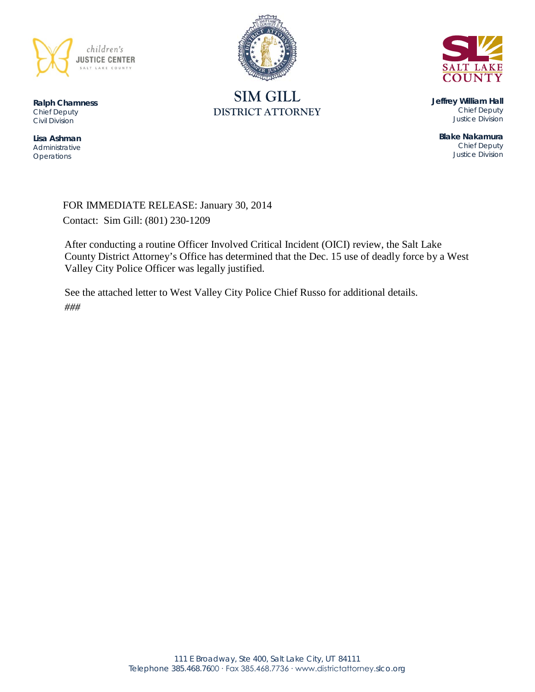



**SIM GILL DISTRICT ATTORNEY**

**Jeffrey William Hall** *Chief Deputy Justice Division*

**Blake Nakamura** *Chief Deputy Justice Division*

*Civil Division* **Lisa Ashman**

**Ralph Chamness**  *Chief Deputy*

*Administrative Operations*

> FOR IMMEDIATE RELEASE: January 30, 2014 Contact: Sim Gill: (801) 230-1209

After conducting a routine Officer Involved Critical Incident (OICI) review, the Salt Lake County District Attorney's Office has determined that the Dec. 15 use of deadly force by a West Valley City Police Officer was legally justified.

See the attached letter to West Valley City Police Chief Russo for additional details. *###*

> 111 E Broadway, Ste 400, Salt Lake City, UT 84111 Telephone 385.468.7600 ∙ Fax 385.468.7736 ∙ www.districtattorney.slco.org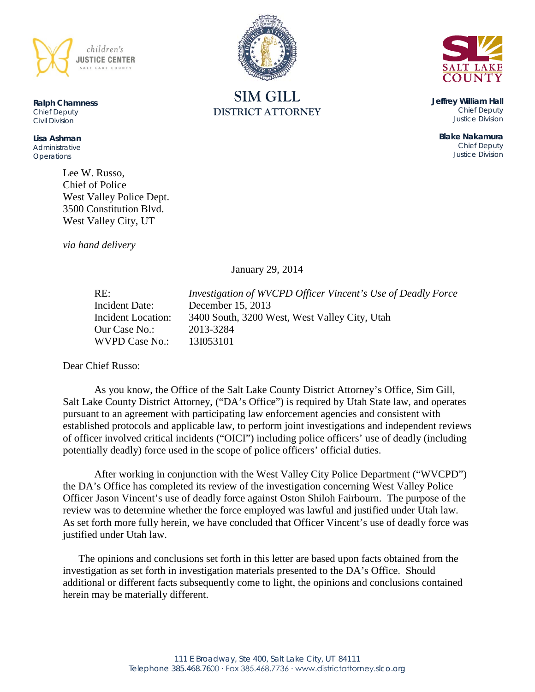

**Ralph Chamness**  *Chief Deputy Civil Division*

**Lisa Ashman** *Administrative Operations*

> Lee W. Russo, Chief of Police West Valley Police Dept. 3500 Constitution Blvd. West Valley City, UT

*via hand delivery*

January 29, 2014

RE: *Investigation of WVCPD Officer Vincent's Use of Deadly Force* Incident Date: December 15, 2013 Incident Location: 3400 South, 3200 West, West Valley City, Utah Our Case No.: 2013-3284 WVPD Case No.: 13I053101

Dear Chief Russo:

As you know, the Office of the Salt Lake County District Attorney's Office, Sim Gill, Salt Lake County District Attorney, ("DA's Office") is required by Utah State law, and operates pursuant to an agreement with participating law enforcement agencies and consistent with established protocols and applicable law, to perform joint investigations and independent reviews of officer involved critical incidents ("OICI") including police officers' use of deadly (including potentially deadly) force used in the scope of police officers' official duties.

After working in conjunction with the West Valley City Police Department ("WVCPD") the DA's Office has completed its review of the investigation concerning West Valley Police Officer Jason Vincent's use of deadly force against Oston Shiloh Fairbourn. The purpose of the review was to determine whether the force employed was lawful and justified under Utah law. As set forth more fully herein, we have concluded that Officer Vincent's use of deadly force was justified under Utah law.

The opinions and conclusions set forth in this letter are based upon facts obtained from the investigation as set forth in investigation materials presented to the DA's Office. Should additional or different facts subsequently come to light, the opinions and conclusions contained herein may be materially different.



**DISTRICT ATTORNEY**



**Jeffrey William Hall** *Chief Deputy Justice Division*

> **Blake Nakamura** *Chief Deputy Justice Division*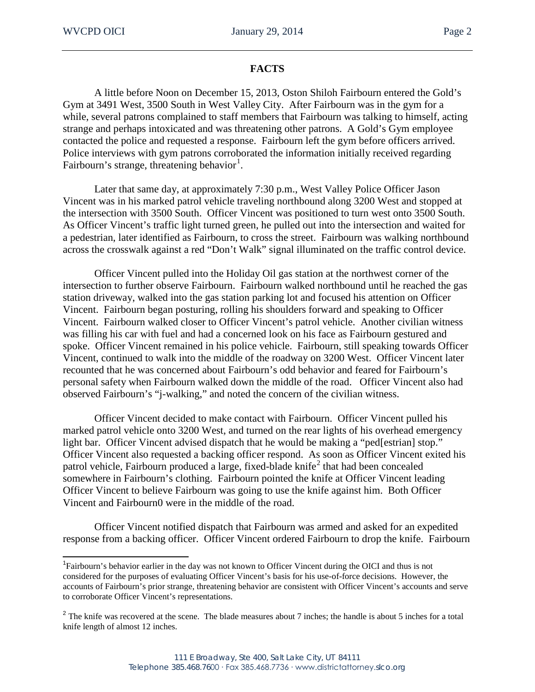## **FACTS**

A little before Noon on December 15, 2013, Oston Shiloh Fairbourn entered the Gold's Gym at 3491 West, 3500 South in West Valley City. After Fairbourn was in the gym for a while, several patrons complained to staff members that Fairbourn was talking to himself, acting strange and perhaps intoxicated and was threatening other patrons. A Gold's Gym employee contacted the police and requested a response. Fairbourn left the gym before officers arrived. Police interviews with gym patrons corroborated the information initially received regarding Fairbourn's strange, threatening behavior<sup>[1](#page-2-0)</sup>.

Later that same day, at approximately 7:30 p.m., West Valley Police Officer Jason Vincent was in his marked patrol vehicle traveling northbound along 3200 West and stopped at the intersection with 3500 South. Officer Vincent was positioned to turn west onto 3500 South. As Officer Vincent's traffic light turned green, he pulled out into the intersection and waited for a pedestrian, later identified as Fairbourn, to cross the street. Fairbourn was walking northbound across the crosswalk against a red "Don't Walk" signal illuminated on the traffic control device.

Officer Vincent pulled into the Holiday Oil gas station at the northwest corner of the intersection to further observe Fairbourn. Fairbourn walked northbound until he reached the gas station driveway, walked into the gas station parking lot and focused his attention on Officer Vincent. Fairbourn began posturing, rolling his shoulders forward and speaking to Officer Vincent. Fairbourn walked closer to Officer Vincent's patrol vehicle. Another civilian witness was filling his car with fuel and had a concerned look on his face as Fairbourn gestured and spoke. Officer Vincent remained in his police vehicle. Fairbourn, still speaking towards Officer Vincent, continued to walk into the middle of the roadway on 3200 West. Officer Vincent later recounted that he was concerned about Fairbourn's odd behavior and feared for Fairbourn's personal safety when Fairbourn walked down the middle of the road. Officer Vincent also had observed Fairbourn's "j-walking," and noted the concern of the civilian witness.

Officer Vincent decided to make contact with Fairbourn. Officer Vincent pulled his marked patrol vehicle onto 3200 West, and turned on the rear lights of his overhead emergency light bar. Officer Vincent advised dispatch that he would be making a "ped[estrian] stop." Officer Vincent also requested a backing officer respond. As soon as Officer Vincent exited his patrol vehicle, Fairbourn produced a large, fixed-blade knife<sup>[2](#page-2-1)</sup> that had been concealed somewhere in Fairbourn's clothing. Fairbourn pointed the knife at Officer Vincent leading Officer Vincent to believe Fairbourn was going to use the knife against him. Both Officer Vincent and Fairbourn0 were in the middle of the road.

Officer Vincent notified dispatch that Fairbourn was armed and asked for an expedited response from a backing officer. Officer Vincent ordered Fairbourn to drop the knife. Fairbourn

<span id="page-2-0"></span><sup>&</sup>lt;sup>1</sup>Fairbourn's behavior earlier in the day was not known to Officer Vincent during the OICI and thus is not considered for the purposes of evaluating Officer Vincent's basis for his use-of-force decisions. However, the accounts of Fairbourn's prior strange, threatening behavior are consistent with Officer Vincent's accounts and serve to corroborate Officer Vincent's representations.

<span id="page-2-1"></span> $2^2$  The knife was recovered at the scene. The blade measures about 7 inches; the handle is about 5 inches for a total knife length of almost 12 inches.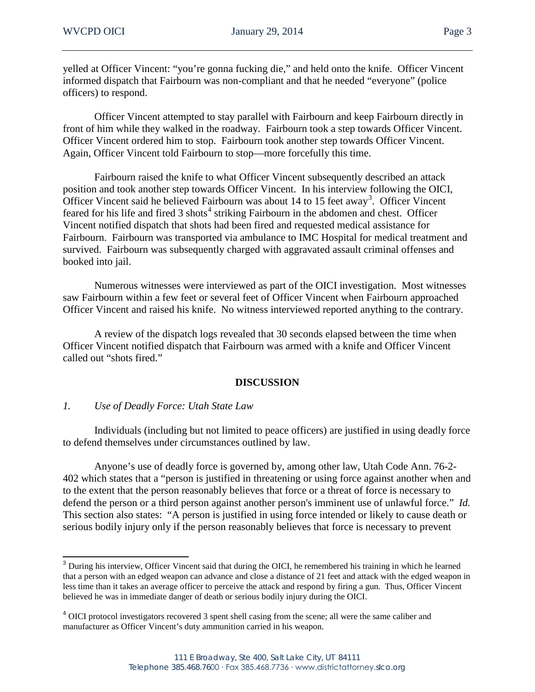yelled at Officer Vincent: "you're gonna fucking die," and held onto the knife. Officer Vincent informed dispatch that Fairbourn was non-compliant and that he needed "everyone" (police officers) to respond.

Officer Vincent attempted to stay parallel with Fairbourn and keep Fairbourn directly in front of him while they walked in the roadway. Fairbourn took a step towards Officer Vincent. Officer Vincent ordered him to stop. Fairbourn took another step towards Officer Vincent. Again, Officer Vincent told Fairbourn to stop—more forcefully this time.

Fairbourn raised the knife to what Officer Vincent subsequently described an attack position and took another step towards Officer Vincent. In his interview following the OICI, Officer Vincent said he believed Fairbourn was about 14 to 15 feet away<sup>[3](#page-3-0)</sup>. Officer Vincent feared for his life and fired 3 shots<sup>[4](#page-3-1)</sup> striking Fairbourn in the abdomen and chest. Officer Vincent notified dispatch that shots had been fired and requested medical assistance for Fairbourn. Fairbourn was transported via ambulance to IMC Hospital for medical treatment and survived. Fairbourn was subsequently charged with aggravated assault criminal offenses and booked into jail.

Numerous witnesses were interviewed as part of the OICI investigation. Most witnesses saw Fairbourn within a few feet or several feet of Officer Vincent when Fairbourn approached Officer Vincent and raised his knife. No witness interviewed reported anything to the contrary.

A review of the dispatch logs revealed that 30 seconds elapsed between the time when Officer Vincent notified dispatch that Fairbourn was armed with a knife and Officer Vincent called out "shots fired."

## **DISCUSSION**

## *1. Use of Deadly Force: Utah State Law*

Individuals (including but not limited to peace officers) are justified in using deadly force to defend themselves under circumstances outlined by law.

Anyone's use of deadly force is governed by, among other law, Utah Code Ann. 76-2- 402 which states that a "person is justified in threatening or using force against another when and to the extent that the person reasonably believes that force or a threat of force is necessary to defend the person or a third person against another person's imminent use of unlawful force." *Id.* This section also states: "A person is justified in using force intended or likely to cause death or serious bodily injury only if the person reasonably believes that force is necessary to prevent

<span id="page-3-0"></span><sup>&</sup>lt;sup>3</sup> During his interview, Officer Vincent said that during the OICI, he remembered his training in which he learned that a person with an edged weapon can advance and close a distance of 21 feet and attack with the edged weapon in less time than it takes an average officer to perceive the attack and respond by firing a gun. Thus, Officer Vincent believed he was in immediate danger of death or serious bodily injury during the OICI.

<span id="page-3-1"></span><sup>&</sup>lt;sup>4</sup> OICI protocol investigators recovered 3 spent shell casing from the scene; all were the same caliber and manufacturer as Officer Vincent's duty ammunition carried in his weapon.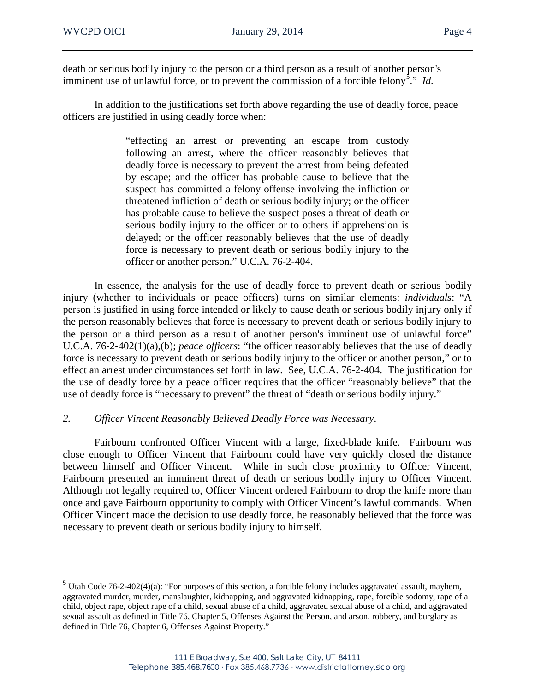death or serious bodily injury to the person or a third person as a result of another person's imminent use of unlawful force, or to prevent the commission of a forcible felony<sup>[5](#page-4-0)</sup>." *Id.* 

In addition to the justifications set forth above regarding the use of deadly force, peace officers are justified in using deadly force when:

> "effecting an arrest or preventing an escape from custody following an arrest, where the officer reasonably believes that deadly force is necessary to prevent the arrest from being defeated by escape; and the officer has probable cause to believe that the suspect has committed a felony offense involving the infliction or threatened infliction of death or serious bodily injury; or the officer has probable cause to believe the suspect poses a threat of death or serious bodily injury to the officer or to others if apprehension is delayed; or the officer reasonably believes that the use of deadly force is necessary to prevent death or serious bodily injury to the officer or another person." U.C.A. 76-2-404.

In essence, the analysis for the use of deadly force to prevent death or serious bodily injury (whether to individuals or peace officers) turns on similar elements: *individuals*: "A person is justified in using force intended or likely to cause death or serious bodily injury only if the person reasonably believes that force is necessary to prevent death or serious bodily injury to the person or a third person as a result of another person's imminent use of unlawful force" U.C.A. 76-2-402(1)(a),(b); *peace officers*: "the officer reasonably believes that the use of deadly force is necessary to prevent death or serious bodily injury to the officer or another person," or to effect an arrest under circumstances set forth in law. See, U.C.A. 76-2-404. The justification for the use of deadly force by a peace officer requires that the officer "reasonably believe" that the use of deadly force is "necessary to prevent" the threat of "death or serious bodily injury."

*2. Officer Vincent Reasonably Believed Deadly Force was Necessary*.

Fairbourn confronted Officer Vincent with a large, fixed-blade knife. Fairbourn was close enough to Officer Vincent that Fairbourn could have very quickly closed the distance between himself and Officer Vincent. While in such close proximity to Officer Vincent, Fairbourn presented an imminent threat of death or serious bodily injury to Officer Vincent. Although not legally required to, Officer Vincent ordered Fairbourn to drop the knife more than once and gave Fairbourn opportunity to comply with Officer Vincent's lawful commands. When Officer Vincent made the decision to use deadly force, he reasonably believed that the force was necessary to prevent death or serious bodily injury to himself.

<span id="page-4-0"></span> $5$  Utah Code 76-2-402(4)(a): "For purposes of this section, a forcible felony includes aggravated assault, mayhem, aggravated murder, murder, manslaughter, kidnapping, and aggravated kidnapping, rape, forcible sodomy, rape of a child, object rape, object rape of a child, sexual abuse of a child, aggravated sexual abuse of a child, and aggravated sexual assault as defined in Title 76, Chapter 5, Offenses Against the Person, and arson, robbery, and burglary as defined in Title 76, Chapter 6, Offenses Against Property."